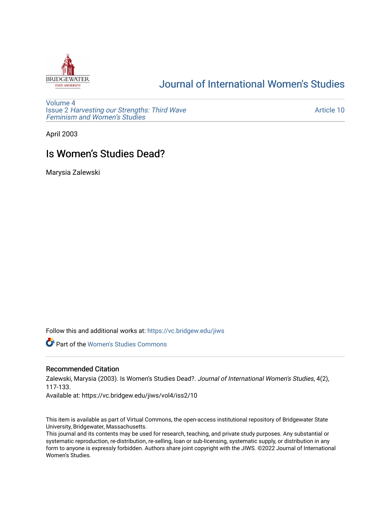

# [Journal of International Women's Studies](https://vc.bridgew.edu/jiws)

[Volume 4](https://vc.bridgew.edu/jiws/vol4) Issue 2 [Harvesting our Strengths: Third Wave](https://vc.bridgew.edu/jiws/vol4/iss2) [Feminism and Women's Studies](https://vc.bridgew.edu/jiws/vol4/iss2)

[Article 10](https://vc.bridgew.edu/jiws/vol4/iss2/10) 

April 2003

# Is Women's Studies Dead?

Marysia Zalewski

Follow this and additional works at: [https://vc.bridgew.edu/jiws](https://vc.bridgew.edu/jiws?utm_source=vc.bridgew.edu%2Fjiws%2Fvol4%2Fiss2%2F10&utm_medium=PDF&utm_campaign=PDFCoverPages)

**C** Part of the Women's Studies Commons

## Recommended Citation

Zalewski, Marysia (2003). Is Women's Studies Dead?. Journal of International Women's Studies, 4(2), 117-133.

Available at: https://vc.bridgew.edu/jiws/vol4/iss2/10

This item is available as part of Virtual Commons, the open-access institutional repository of Bridgewater State University, Bridgewater, Massachusetts.

This journal and its contents may be used for research, teaching, and private study purposes. Any substantial or systematic reproduction, re-distribution, re-selling, loan or sub-licensing, systematic supply, or distribution in any form to anyone is expressly forbidden. Authors share joint copyright with the JIWS. ©2022 Journal of International Women's Studies.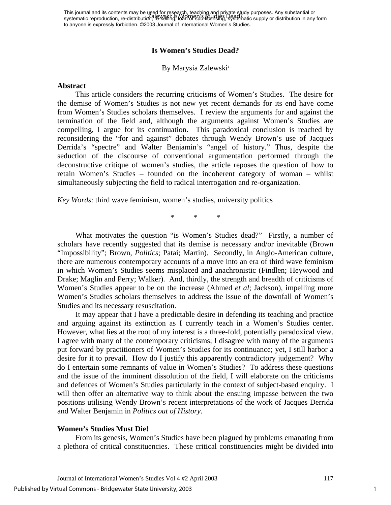This journal and its contents may be used for research, teaching and private study purposes. Any substantial or systematic reproduction, re-distributio<del>n</del>, ቦe venthe), loan or sub-licensing, systematic supply or distribution in any form to anyone is expressly forbidden. ©2003 Journal of International Women's Studies. Zalewski: Is Women's Studies Dead?

## **Is Women's Studies Dead?**

#### By Marys[i](#page-17-0)a Zalewski<sup>i</sup>

### **Abstract**

This article considers the recurring criticisms of Women's Studies. The desire for the demise of Women's Studies is not new yet recent demands for its end have come from Women's Studies scholars themselves. I review the arguments for and against the termination of the field and, although the arguments against Women's Studies are compelling, I argue for its continuation. This paradoxical conclusion is reached by reconsidering the "for and against" debates through Wendy Brown's use of Jacques Derrida's "spectre" and Walter Benjamin's "angel of history." Thus, despite the seduction of the discourse of conventional argumentation performed through the deconstructive critique of women's studies, the article reposes the question of how to retain Women's Studies – founded on the incoherent category of woman – whilst simultaneously subjecting the field to radical interrogation and re-organization.

*Key Words*: third wave feminism, women's studies, university politics

\* \* \*

What motivates the question "is Women's Studies dead?" Firstly, a number of scholars have recently suggested that its demise is necessary and/or inevitable (Brown "Impossibility"; Brown, *Politics*; Patai; Martin). Secondly, in Anglo-American culture, there are numerous contemporary accounts of a move into an era of third wave feminism in which Women's Studies seems misplaced and anachronistic (Findlen; Heywood and Drake; Maglin and Perry; Walker). And, thirdly, the strength and breadth of criticisms of Women's Studies appear to be on the increase (Ahmed *et al*; Jackson), impelling more Women's Studies scholars themselves to address the issue of the downfall of Women's Studies and its necessary resuscitation.

It may appear that I have a predictable desire in defending its teaching and practice and arguing against its extinction as I currently teach in a Women's Studies center. However, what lies at the root of my interest is a three-fold, potentially paradoxical view. I agree with many of the contemporary criticisms; I disagree with many of the arguments put forward by practitioners of Women's Studies for its continuance; yet, I still harbor a desire for it to prevail. How do I justify this apparently contradictory judgement? Why do I entertain some remnants of value in Women's Studies? To address these questions and the issue of the imminent dissolution of the field, I will elaborate on the criticisms and defences of Women's Studies particularly in the context of subject-based enquiry. I will then offer an alternative way to think about the ensuing impasse between the two positions utilising Wendy Brown's recent interpretations of the work of Jacques Derrida and Walter Benjamin in *Politics out of History*.

#### **Women's Studies Must Die!**

From its genesis, Women's Studies have been plagued by problems emanating from a plethora of critical constituencies. These critical constituencies might be divided into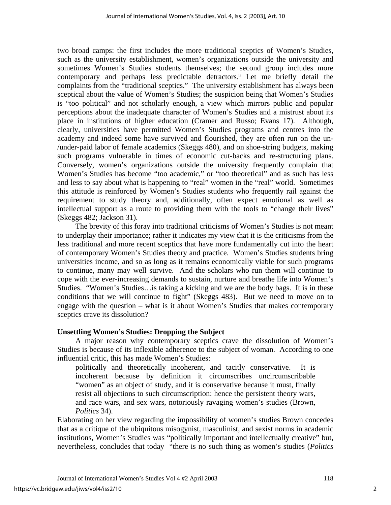two broad camps: the first includes the more traditional sceptics of Women's Studies, such as the university establishment, women's organizations outside the university and sometimes Women's Studies students themselves; the second group includes more contemporary and perhaps less predictable detractors.<sup>ii</sup> Let me briefly detail the complaints from the "traditional sceptics." The university establishment has always been sceptical about the value of Women's Studies; the suspicion being that Women's Studies is "too political" and not scholarly enough, a view which mirrors public and popular perceptions about the inadequate character of Women's Studies and a mistrust about its place in institutions of higher education (Cramer and Russo; Evans 17). Although, clearly, universities have permitted Women's Studies programs and centres into the academy and indeed some have survived and flourished, they are often run on the un- /under-paid labor of female academics (Skeggs 480), and on shoe-string budgets, making such programs vulnerable in times of economic cut-backs and re-structuring plans. Conversely, women's organizations outside the university frequently complain that Women's Studies has become "too academic," or "too theoretical" and as such has less and less to say about what is happening to "real" women in the "real" world. Sometimes this attitude is reinforced by Women's Studies students who frequently rail against the requirement to study theory and, additionally, often expect emotional as well as intellectual support as a route to providing them with the tools to "change their lives" (Skeggs 482; Jackson 31).

The brevity of this foray into traditional criticisms of Women's Studies is not meant to underplay their importance; rather it indicates my view that it is the criticisms from the less traditional and more recent sceptics that have more fundamentally cut into the heart of contemporary Women's Studies theory and practice. Women's Studies students bring universities income, and so as long as it remains economically viable for such programs to continue, many may well survive. And the scholars who run them will continue to cope with the ever-increasing demands to sustain, nurture and breathe life into Women's Studies. "Women's Studies…is taking a kicking and we are the body bags. It is in these conditions that we will continue to fight" (Skeggs 483). But we need to move on to engage with the question – what is it about Women's Studies that makes contemporary sceptics crave its dissolution?

# **Unsettling Women's Studies: Dropping the Subject**

A major reason why contemporary sceptics crave the dissolution of Women's Studies is because of its inflexible adherence to the subject of woman. According to one influential critic, this has made Women's Studies:

politically and theoretically incoherent, and tacitly conservative. It is incoherent because by definition it circumscribes uncircumscribable "women" as an object of study, and it is conservative because it must, finally resist all objections to such circumscription: hence the persistent theory wars, and race wars, and sex wars, notoriously ravaging women's studies (Brown, *Politics* 34).

Elaborating on her view regarding the impossibility of women's studies Brown concedes that as a critique of the ubiquitous misogynist, masculinist, and sexist norms in academic institutions, Women's Studies was "politically important and intellectually creative" but, nevertheless, concludes that today "there is no such thing as women's studies (*Politics*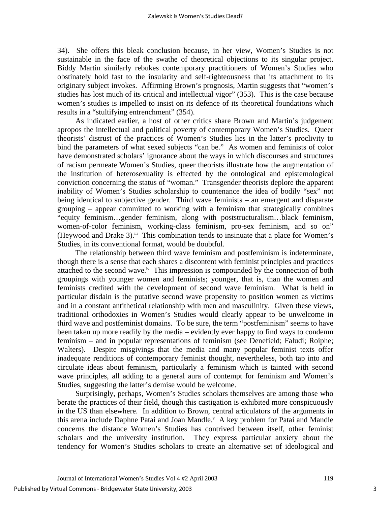34). She offers this bleak conclusion because, in her view, Women's Studies is not sustainable in the face of the swathe of theoretical objections to its singular project. Biddy Martin similarly rebukes contemporary practitioners of Women's Studies who obstinately hold fast to the insularity and self-righteousness that its attachment to its originary subject invokes. Affirming Brown's prognosis, Martin suggests that "women's studies has lost much of its critical and intellectual vigor" (353). This is the case because women's studies is impelled to insist on its defence of its theoretical foundations which results in a "stultifying entrenchment" (354).

As indicated earlier, a host of other critics share Brown and Martin's judgement apropos the intellectual and political poverty of contemporary Women's Studies. Queer theorists' distrust of the practices of Women's Studies lies in the latter's proclivity to bind the parameters of what sexed subjects "can be." As women and feminists of color have demonstrated scholars' ignorance about the ways in which discourses and structures of racism permeate Women's Studies, queer theorists illustrate how the augmentation of the institution of heterosexuality is effected by the ontological and epistemological conviction concerning the status of "woman." Transgender theorists deplore the apparent inability of Women's Studies scholarship to countenance the idea of bodily "sex" not being identical to subjective gender. Third wave feminists – an emergent and disparate grouping – appear committed to working with a feminism that strategically combines "equity feminism…gender feminism, along with poststructuralism…black feminism, women-of-color feminism, working-class feminism, pro-sex feminism, and so on" (Heywood and Drake 3). $\ddot{ }$  This combination tends to insinuate that a place for Women's Studies, in its conventional format, would be doubtful.

The relationship between third wave feminism and postfeminism is indeterminate, though there is a sense that each shares a discontent with feminist principles and practices attached to the second wave.<sup>iv</sup> This impression is compounded by the connection of both groupings with younger women and feminists; younger, that is, than the women and feminists credited with the development of second wave feminism. What is held in particular disdain is the putative second wave propensity to position women as victims and in a constant antithetical relationship with men and masculinity. Given these views, traditional orthodoxies in Women's Studies would clearly appear to be unwelcome in third wave and postfeminist domains. To be sure, the term "postfeminism" seems to have been taken up more readily by the media – evidently ever happy to find ways to condemn feminism – and in popular representations of feminism (see Denefield; Faludi; Roiphe; Walters). Despite misgivings that the media and many popular feminist texts offer inadequate renditions of contemporary feminist thought, nevertheless, both tap into and circulate ideas about feminism, particularly a feminism which is tainted with second wave principles, all adding to a general aura of contempt for feminism and Women's Studies, suggesting the latter's demise would be welcome.

Surprisingly, perhaps, Women's Studies scholars themselves are among those who berate the practices of their field, though this castigation is exhibited more conspicuously in the US than elsewhere. In addition to Brown, central articulators of the arguments in this arena include Daphne Patai and Joan Mandle.<sup>v</sup> A key problem for Patai and Mandle concerns the distance Women's Studies has contrived between itself, other feminist scholars and the university institution. They express particular anxiety about the tendency for Women's Studies scholars to create an alternative set of ideological and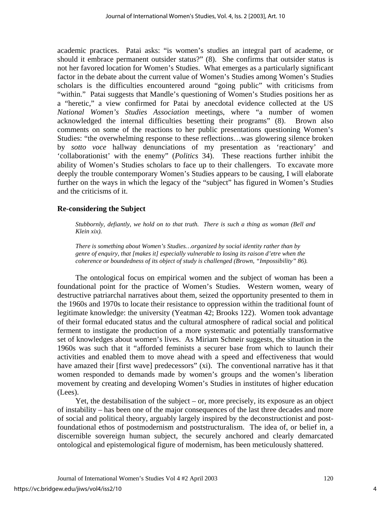academic practices. Patai asks: "is women's studies an integral part of academe, or should it embrace permanent outsider status?" (8). She confirms that outsider status is not her favored location for Women's Studies. What emerges as a particularly significant factor in the debate about the current value of Women's Studies among Women's Studies scholars is the difficulties encountered around "going public" with criticisms from "within." Patai suggests that Mandle's questioning of Women's Studies positions her as a "heretic," a view confirmed for Patai by anecdotal evidence collected at the US *National Women's Studies Association* meetings, where "a number of women acknowledged the internal difficulties besetting their programs" (8). Brown also comments on some of the reactions to her public presentations questioning Women's Studies: "the overwhelming response to these reflections…was glowering silence broken by *sotto voce* hallway denunciations of my presentation as 'reactionary' and 'collaborationist' with the enemy" (*Politics* 34). These reactions further inhibit the ability of Women's Studies scholars to face up to their challengers. To excavate more deeply the trouble contemporary Women's Studies appears to be causing, I will elaborate further on the ways in which the legacy of the "subject" has figured in Women's Studies and the criticisms of it.

# **Re-considering the Subject**

*Stubbornly, defiantly, we hold on to that truth. There is such a thing as woman (Bell and Klein xix).* 

*There is something about Women's Studies…organized by social identity rather than by genre of enquiry, that [makes it] especially vulnerable to losing its raison d'etre when the coherence or boundedness of its object of study is challenged (Brown, "Impossibility" 86).*

The ontological focus on empirical women and the subject of woman has been a foundational point for the practice of Women's Studies. Western women, weary of destructive patriarchal narratives about them, seized the opportunity presented to them in the 1960s and 1970s to locate their resistance to oppression within the traditional fount of legitimate knowledge: the university (Yeatman 42; Brooks 122). Women took advantage of their formal educated status and the cultural atmosphere of radical social and political ferment to instigate the production of a more systematic and potentially transformative set of knowledges about women's lives. As Miriam Schneir suggests, the situation in the 1960s was such that it "afforded feminists a securer base from which to launch their activities and enabled them to move ahead with a speed and effectiveness that would have amazed their [first wave] predecessors" (xi). The conventional narrative has it that women responded to demands made by women's groups and the women's liberation movement by creating and developing Women's Studies in institutes of higher education (Lees).

Yet, the destabilisation of the subject – or, more precisely, its exposure as an object of instability – has been one of the major consequences of the last three decades and more of social and political theory, arguably largely inspired by the deconstructionist and postfoundational ethos of postmodernism and poststructuralism. The idea of, or belief in, a discernible sovereign human subject, the securely anchored and clearly demarcated ontological and epistemological figure of modernism, has been meticulously shattered.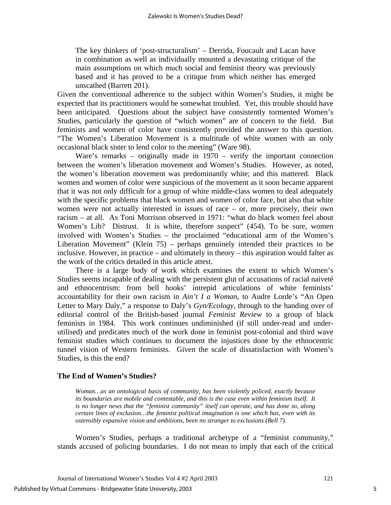The key thinkers of 'post-structuralism' – Derrida, Foucault and Lacan have in combination as well as individually mounted a devastating critique of the main assumptions on which much social and feminist theory was previously based and it has proved to be a critique from which neither has emerged unscathed (Barrett 201).

Given the conventional adherence to the subject within Women's Studies, it might be expected that its practitioners would be somewhat troubled. Yet, this trouble should have been anticipated. Questions about the subject have consistently tormented Women's Studies, particularly the question of "which women" are of concern to the field. But feminists and women of color have consistently provided the answer to this question. "The Women's Liberation Movement is a multitude of white women with an only occasional black sister to lend color to the meeting" (Ware 98).

Ware's remarks – originally made in 1970 – verify the important connection between the women's liberation movement and Women's Studies. However, as noted, the women's liberation movement was predominantly white; and this mattered. Black women and women of color were suspicious of the movement as it soon became apparent that it was not only difficult for a group of white middle-class women to deal adequately with the specific problems that black women and women of color face, but also that white women were not actually interested in issues of race – or, more precisely, their own racism – at all. As Toni Morrison observed in 1971: "what do black women feel about Women's Lib? Distrust. It is white, therefore suspect" (454). To be sure, women involved with Women's Studies – the proclaimed "educational arm of the Women's Liberation Movement" (Klein 75) – perhaps genuinely intended their practices to be inclusive. However, in practice – and ultimately in theory – this aspiration would falter as the work of the critics detailed in this article attest.

There is a large body of work which examines the extent to which Women's Studies seems incapable of dealing with the persistent glut of accusations of racial naiveté and ethnocentrism: from bell hooks' intrepid articulations of white feminists' accountability for their own racism in *Ain't I a Woman*, to Audre Lorde's "An Open Letter to Mary Daly," a response to Daly's *Gyn/Ecology*, through to the handing over of editorial control of the British-based journal *Feminist Review* to a group of black feminists in 1984. This work continues undiminished (if still under-read and underutilised) and predicates much of the work done in feminist post-colonial and third wave feminist studies which continues to document the injustices done by the ethnocentric tunnel vision of Western feminists. Given the scale of dissatisfaction with Women's Studies, is this the end?

# **The End of Women's Studies?**

*Woman…as an ontological basis of community, has been violently policed, exactly because its boundaries are mobile and contestable, and this is the case even within feminism itself. It is no longer news that the "feminist community" itself can operate, and has done so, along certain lines of exclusion…the feminist political imagination is one which has, even with its ostensibly expansive vision and ambitions, been no stranger to exclusions (Bell 7).* 

Women's Studies, perhaps a traditional archetype of a "feminist community," stands accused of policing boundaries. I do not mean to imply that each of the critical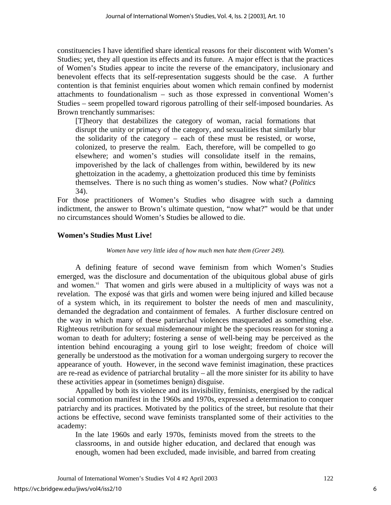constituencies I have identified share identical reasons for their discontent with Women's Studies; yet, they all question its effects and its future. A major effect is that the practices of Women's Studies appear to incite the reverse of the emancipatory, inclusionary and benevolent effects that its self-representation suggests should be the case. A further contention is that feminist enquiries about women which remain confined by modernist attachments to foundationalism – such as those expressed in conventional Women's Studies – seem propelled toward rigorous patrolling of their self-imposed boundaries. As Brown trenchantly summarises:

[T]heory that destabilizes the category of woman, racial formations that disrupt the unity or primacy of the category, and sexualities that similarly blur the solidarity of the category – each of these must be resisted, or worse, colonized, to preserve the realm. Each, therefore, will be compelled to go elsewhere; and women's studies will consolidate itself in the remains, impoverished by the lack of challenges from within, bewildered by its new ghettoization in the academy, a ghettoization produced this time by feminists themselves. There is no such thing as women's studies. Now what? (*Politics*  34).

For those practitioners of Women's Studies who disagree with such a damning indictment, the answer to Brown's ultimate question, "now what?" would be that under no circumstances should Women's Studies be allowed to die.

## **Women's Studies Must Live!**

#### *Women have very little idea of how much men hate them (Greer 249).*

A defining feature of second wave feminism from which Women's Studies emerged, was the disclosure and documentation of the ubiquitous global abuse of girls and women.<sup>vi</sup> That women and girls were abused in a multiplicity of ways was not a revelation. The exposé was that girls and women were being injured and killed because of a system which, in its requirement to bolster the needs of men and masculinity, demanded the degradation and containment of females. A further disclosure centred on the way in which many of these patriarchal violences masqueraded as something else. Righteous retribution for sexual misdemeanour might be the specious reason for stoning a woman to death for adultery; fostering a sense of well-being may be perceived as the intention behind encouraging a young girl to lose weight; freedom of choice will generally be understood as the motivation for a woman undergoing surgery to recover the appearance of youth. However, in the second wave feminist imagination, these practices are re-read as evidence of patriarchal brutality – all the more sinister for its ability to have these activities appear in (sometimes benign) disguise.

Appalled by both its violence and its invisibility, feminists, energised by the radical social commotion manifest in the 1960s and 1970s, expressed a determination to conquer patriarchy and its practices. Motivated by the politics of the street, but resolute that their actions be effective, second wave feminists transplanted some of their activities to the academy:

In the late 1960s and early 1970s, feminists moved from the streets to the classrooms, in and outside higher education, and declared that enough was enough, women had been excluded, made invisible, and barred from creating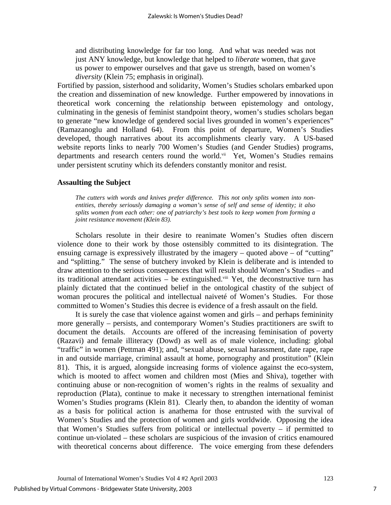and distributing knowledge for far too long. And what was needed was not just ANY knowledge, but knowledge that helped to *liberate* women, that gave us power to empower ourselves and that gave us strength, based on women's *diversity* (Klein 75; emphasis in original).

Fortified by passion, sisterhood and solidarity, Women's Studies scholars embarked upon the creation and dissemination of new knowledge. Further empowered by innovations in theoretical work concerning the relationship between epistemology and ontology, culminating in the genesis of feminist standpoint theory, women's studies scholars began to generate "new knowledge of gendered social lives grounded in women's experiences" (Ramazanoglu and Holland 64). From this point of departure, Women's Studies developed, though narratives about its accomplishments clearly vary. A US-based website reports links to nearly 700 Women's Studies (and Gender Studies) programs, departments and research centers round the world.<sup>vii</sup> Yet, Women's Studies remains under persistent scrutiny which its defenders constantly monitor and resist.

### **Assaulting the Subject**

*The cutters with words and knives prefer difference. This not only splits women into nonentities, thereby seriously damaging a woman's sense of self and sense of identity; it also splits women from each other: one of patriarchy's best tools to keep women from forming a joint resistance movement (Klein 83).* 

Scholars resolute in their desire to reanimate Women's Studies often discern violence done to their work by those ostensibly committed to its disintegration. The ensuing carnage is expressively illustrated by the imagery – quoted above – of "cutting" and "splitting." The sense of butchery invoked by Klein is deliberate and is intended to draw attention to the serious consequences that will result should Women's Studies – and its traditional attendant activities  $-$  be extinguished.<sup>viii</sup> Yet, the deconstructive turn has plainly dictated that the continued belief in the ontological chastity of the subject of woman procures the political and intellectual naiveté of Women's Studies. For those committed to Women's Studies this decree is evidence of a fresh assault on the field.

It is surely the case that violence against women and girls – and perhaps femininity more generally – persists, and contemporary Women's Studies practitioners are swift to document the details. Accounts are offered of the increasing feminisation of poverty (Razavi) and female illiteracy (Dowd) as well as of male violence, including: global "traffic" in women (Pettman 491); and, "sexual abuse, sexual harassment, date rape, rape in and outside marriage, criminal assault at home, pornography and prostitution" (Klein 81). This, it is argued, alongside increasing forms of violence against the eco-system, which is mooted to affect women and children most (Mies and Shiva), together with continuing abuse or non-recognition of women's rights in the realms of sexuality and reproduction (Plata), continue to make it necessary to strengthen international feminist Women's Studies programs (Klein 81). Clearly then, to abandon the identity of woman as a basis for political action is anathema for those entrusted with the survival of Women's Studies and the protection of women and girls worldwide. Opposing the idea that Women's Studies suffers from political or intellectual poverty – if permitted to continue un-violated – these scholars are suspicious of the invasion of critics enamoured with theoretical concerns about difference. The voice emerging from these defenders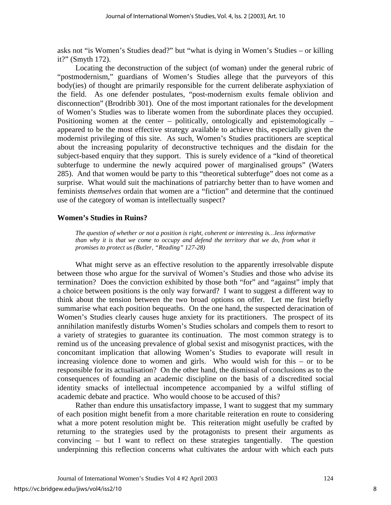asks not "is Women's Studies dead?" but "what is dying in Women's Studies – or killing it?" (Smyth 172).

Locating the deconstruction of the subject (of woman) under the general rubric of "postmodernism," guardians of Women's Studies allege that the purveyors of this body(ies) of thought are primarily responsible for the current deliberate asphyxiation of the field. As one defender postulates, "post-modernism exults female oblivion and disconnection" (Brodribb 301). One of the most important rationales for the development of Women's Studies was to liberate women from the subordinate places they occupied. Positioning women at the center – politically, ontologically and epistemologically – appeared to be the most effective strategy available to achieve this, especially given the modernist privileging of this site. As such, Women's Studies practitioners are sceptical about the increasing popularity of deconstructive techniques and the disdain for the subject-based enquiry that they support. This is surely evidence of a "kind of theoretical subterfuge to undermine the newly acquired power of marginalised groups" (Waters 285). And that women would be party to this "theoretical subterfuge" does not come as a surprise. What would suit the machinations of patriarchy better than to have women and feminists *themselves* ordain that women are a "fiction" and determine that the continued use of the category of woman is intellectually suspect?

## **Women's Studies in Ruins?**

*The question of whether or not a position is right, coherent or interesting is…less informative than why it is that we come to occupy and defend the territory that we do, from what it promises to protect us (Butler, "Reading" 127-28)* 

What might serve as an effective resolution to the apparently irresolvable dispute between those who argue for the survival of Women's Studies and those who advise its termination? Does the conviction exhibited by those both "for" and "against" imply that a choice between positions is the only way forward? I want to suggest a different way to think about the tension between the two broad options on offer. Let me first briefly summarise what each position bequeaths. On the one hand, the suspected deracination of Women's Studies clearly causes huge anxiety for its practitioners. The prospect of its annihilation manifestly disturbs Women's Studies scholars and compels them to resort to a variety of strategies to guarantee its continuation. The most common strategy is to remind us of the unceasing prevalence of global sexist and misogynist practices, with the concomitant implication that allowing Women's Studies to evaporate will result in increasing violence done to women and girls. Who would wish for this – or to be responsible for its actualisation? On the other hand, the dismissal of conclusions as to the consequences of founding an academic discipline on the basis of a discredited social identity smacks of intellectual incompetence accompanied by a wilful stifling of academic debate and practice. Who would choose to be accused of this?

Rather than endure this unsatisfactory impasse, I want to suggest that my summary of each position might benefit from a more charitable reiteration en route to considering what a more potent resolution might be. This reiteration might usefully be crafted by returning to the strategies used by the protagonists to present their arguments as convincing – but I want to reflect on these strategies tangentially. The question underpinning this reflection concerns what cultivates the ardour with which each puts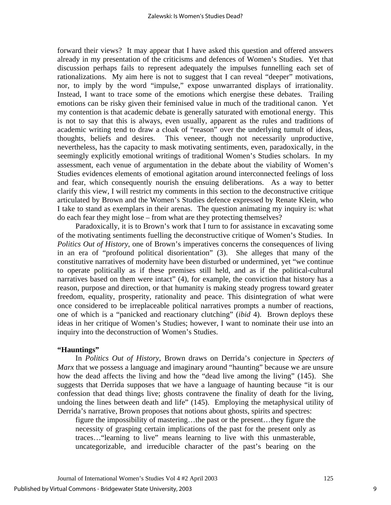forward their views? It may appear that I have asked this question and offered answers already in my presentation of the criticisms and defences of Women's Studies. Yet that discussion perhaps fails to represent adequately the impulses funnelling each set of rationalizations. My aim here is not to suggest that I can reveal "deeper" motivations, nor, to imply by the word "impulse," expose unwarranted displays of irrationality. Instead, I want to trace some of the emotions which energise these debates. Trailing emotions can be risky given their feminised value in much of the traditional canon. Yet my contention is that academic debate is generally saturated with emotional energy. This is not to say that this is always, even usually, apparent as the rules and traditions of academic writing tend to draw a cloak of "reason" over the underlying tumult of ideas, thoughts, beliefs and desires. This veneer, though not necessarily unproductive, nevertheless, has the capacity to mask motivating sentiments, even, paradoxically, in the seemingly explicitly emotional writings of traditional Women's Studies scholars. In my assessment, each venue of argumentation in the debate about the viability of Women's Studies evidences elements of emotional agitation around interconnected feelings of loss and fear, which consequently nourish the ensuing deliberations. As a way to better clarify this view, I will restrict my comments in this section to the deconstructive critique articulated by Brown and the Women's Studies defence expressed by Renate Klein, who I take to stand as exemplars in their arenas. The question animating my inquiry is: what do each fear they might lose – from what are they protecting themselves?

Paradoxically, it is to Brown's work that I turn to for assistance in excavating some of the motivating sentiments fuelling the deconstructive critique of Women's Studies. In *Politics Out of History*, one of Brown's imperatives concerns the consequences of living in an era of "profound political disorientation" (3). She alleges that many of the constitutive narratives of modernity have been disturbed or undermined, yet "we continue to operate politically as if these premises still held, and as if the political-cultural narratives based on them were intact" (4), for example, the conviction that history has a reason, purpose and direction, or that humanity is making steady progress toward greater freedom, equality, prosperity, rationality and peace. This disintegration of what were once considered to be irreplaceable political narratives prompts a number of reactions, one of which is a "panicked and reactionary clutching" (*ibid* 4). Brown deploys these ideas in her critique of Women's Studies; however, I want to nominate their use into an inquiry into the deconstruction of Women's Studies.

## **"Hauntings"**

In *Politics Out of History*, Brown draws on Derrida's conjecture in *Specters of Marx* that we possess a language and imaginary around "haunting" because we are unsure how the dead affects the living and how the "dead live among the living" (145). She suggests that Derrida supposes that we have a language of haunting because "it is our confession that dead things live; ghosts contravene the finality of death for the living, undoing the lines between death and life" (145). Employing the metaphysical utility of Derrida's narrative, Brown proposes that notions about ghosts, spirits and spectres:

figure the impossibility of mastering…the past or the present…they figure the necessity of grasping certain implications of the past for the present only as traces…"learning to live" means learning to live with this unmasterable, uncategorizable, and irreducible character of the past's bearing on the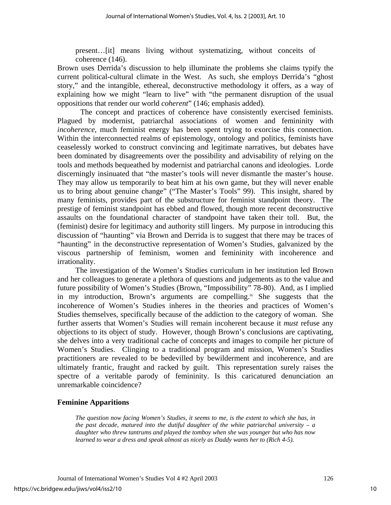present…[it] means living without systematizing, without conceits of coherence (146).

Brown uses Derrida's discussion to help illuminate the problems she claims typify the current political-cultural climate in the West. As such, she employs Derrida's "ghost story," and the intangible, ethereal, deconstructive methodology it offers, as a way of explaining how we might "learn to live" with "the permanent disruption of the usual oppositions that render our world *coherent*" (146; emphasis added).

 The concept and practices of coherence have consistently exercised feminists. Plagued by modernist, patriarchal associations of women and femininity with *incoherence*, much feminist energy has been spent trying to exorcise this connection. Within the interconnected realms of epistemology, ontology and politics, feminists have ceaselessly worked to construct convincing and legitimate narratives, but debates have been dominated by disagreements over the possibility and advisability of relying on the tools and methods bequeathed by modernist and patriarchal canons and ideologies. Lorde discerningly insinuated that "the master's tools will never dismantle the master's house. They may allow us temporarily to beat him at his own game, but they will never enable us to bring about genuine change" ("The Master's Tools" 99). This insight, shared by many feminists, provides part of the substructure for feminist standpoint theory. The prestige of feminist standpoint has ebbed and flowed, though more recent deconstructive assaults on the foundational character of standpoint have taken their toll. But, the (feminist) desire for legitimacy and authority still lingers. My purpose in introducing this discussion of "haunting" via Brown and Derrida is to suggest that there may be traces of "haunting" in the deconstructive representation of Women's Studies, galvanized by the viscous partnership of feminism, women and femininity with incoherence and irrationality.

The investigation of the Women's Studies curriculum in her institution led Brown and her colleagues to generate a plethora of questions and judgements as to the value and future possibility of Women's Studies (Brown, "Impossibility" 78-80). And, as I implied in my introduction, Brown's arguments are compelling.<sup>ix</sup> She suggests that the incoherence of Women's Studies inheres in the theories and practices of Women's Studies themselves, specifically because of the addiction to the category of woman. She further asserts that Women's Studies will remain incoherent because it *must* refuse any objections to its object of study. However, though Brown's conclusions are captivating, she delves into a very traditional cache of concepts and images to compile her picture of Women's Studies. Clinging to a traditional program and mission, Women's Studies practitioners are revealed to be bedevilled by bewilderment and incoherence, and are ultimately frantic, fraught and racked by guilt. This representation surely raises the spectre of a veritable parody of femininity. Is this caricatured denunciation an unremarkable coincidence?

# **Feminine Apparitions**

*The question now facing Women's Studies, it seems to me, is the extent to which she has, in the past decade, matured into the dutiful daughter of the white patriarchal university – a daughter who threw tantrums and played the tomboy when she was younger but who has now learned to wear a dress and speak almost as nicely as Daddy wants her to (Rich 4-5).*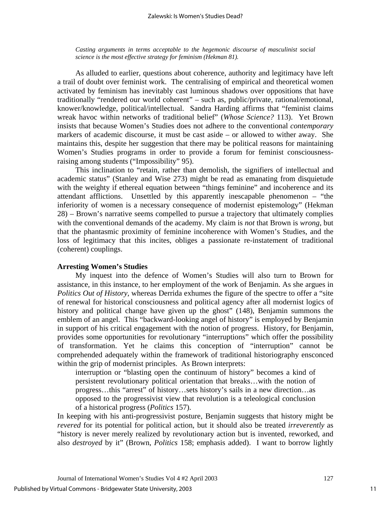*Casting arguments in terms acceptable to the hegemonic discourse of masculinist social science is the most effective strategy for feminism (Hekman 81).*

As alluded to earlier, questions about coherence, authority and legitimacy have left a trail of doubt over feminist work. The centralising of empirical and theoretical women activated by feminism has inevitably cast luminous shadows over oppositions that have traditionally "rendered our world coherent" – such as, public/private, rational/emotional, knower/knowledge, political/intellectual. Sandra Harding affirms that "feminist claims wreak havoc within networks of traditional belief" (*Whose Science?* 113). Yet Brown insists that because Women's Studies does not adhere to the conventional *contemporary* markers of academic discourse, it must be cast aside – or allowed to wither away. She maintains this, despite her suggestion that there may be political reasons for maintaining Women's Studies programs in order to provide a forum for feminist consciousnessraising among students ("Impossibility" 95).

This inclination to "retain, rather than demolish, the signifiers of intellectual and academic status" (Stanley and Wise 273) might be read as emanating from disquietude with the weighty if ethereal equation between "things feminine" and incoherence and its attendant afflictions. Unsettled by this apparently inescapable phenomenon – "the inferiority of women is a necessary consequence of modernist epistemology" (Hekman 28) – Brown's narrative seems compelled to pursue a trajectory that ultimately complies with the conventional demands of the academy. My claim is *not* that Brown is *wrong*, but that the phantasmic proximity of feminine incoherence with Women's Studies, and the loss of legitimacy that this incites, obliges a passionate re-instatement of traditional (coherent) couplings.

## **Arresting Women's Studies**

My inquest into the defence of Women's Studies will also turn to Brown for assistance, in this instance, to her employment of the work of Benjamin. As she argues in *Politics Out of History, whereas Derrida exhumes the figure of the spectre to offer a "site*" of renewal for historical consciousness and political agency after all modernist logics of history and political change have given up the ghost" (148), Benjamin summons the emblem of an angel. This "backward-looking angel of history" is employed by Benjamin in support of his critical engagement with the notion of progress. History, for Benjamin, provides some opportunities for revolutionary "interruptions" which offer the possibility of transformation. Yet he claims this conception of "interruption" cannot be comprehended adequately within the framework of traditional historiography ensconced within the grip of modernist principles. As Brown interprets:

interruption or "blasting open the continuum of history" becomes a kind of persistent revolutionary political orientation that breaks…with the notion of progress…this "arrest" of history…sets history's sails in a new direction…as opposed to the progressivist view that revolution is a teleological conclusion of a historical progress (*Politics* 157).

In keeping with his anti-progressivist posture, Benjamin suggests that history might be *revered* for its potential for political action, but it should also be treated *irreverently* as "history is never merely realized by revolutionary action but is invented, reworked, and also *destroyed* by it" (Brown, *Politics* 158; emphasis added). I want to borrow lightly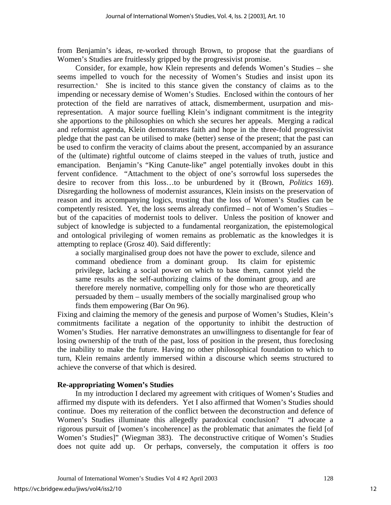from Benjamin's ideas, re-worked through Brown, to propose that the guardians of Women's Studies are fruitlessly gripped by the progressivist promise.

Consider, for example, how Klein represents and defends Women's Studies – she seems impelled to vouch for the necessity of Women's Studies and insist upon its resurrection.<sup>x</sup> She is incited to this stance given the constancy of claims as to the impending or necessary demise of Women's Studies. Enclosed within the contours of her protection of the field are narratives of attack, dismemberment, usurpation and misrepresentation. A major source fuelling Klein's indignant commitment is the integrity she apportions to the philosophies on which she secures her appeals. Merging a radical and reformist agenda, Klein demonstrates faith and hope in the three-fold progressivist pledge that the past can be utilised to make (better) sense of the present; that the past can be used to confirm the veracity of claims about the present, accompanied by an assurance of the (ultimate) rightful outcome of claims steeped in the values of truth, justice and emancipation. Benjamin's "King Canute-like" angel potentially invokes doubt in this fervent confidence. "Attachment to the object of one's sorrowful loss supersedes the desire to recover from this loss…to be unburdened by it (Brown, *Politics* 169). Disregarding the hollowness of modernist assurances, Klein insists on the preservation of reason and its accompanying logics, trusting that the loss of Women's Studies can be competently resisted. Yet, the loss seems already confirmed – not of Women's Studies – but of the capacities of modernist tools to deliver. Unless the position of knower and subject of knowledge is subjected to a fundamental reorganization, the epistemological and ontological privileging of women remains as problematic as the knowledges it is attempting to replace (Grosz 40). Said differently:

a socially marginalised group does not have the power to exclude, silence and command obedience from a dominant group. Its claim for epistemic privilege, lacking a social power on which to base them, cannot yield the same results as the self-authorizing claims of the dominant group, and are therefore merely normative, compelling only for those who are theoretically persuaded by them – usually members of the socially marginalised group who finds them empowering (Bar On 96).

Fixing and claiming the memory of the genesis and purpose of Women's Studies, Klein's commitments facilitate a negation of the opportunity to inhibit the destruction of Women's Studies. Her narrative demonstrates an unwillingness to disentangle for fear of losing ownership of the truth of the past, loss of position in the present, thus foreclosing the inability to make the future. Having no other philosophical foundation to which to turn, Klein remains ardently immersed within a discourse which seems structured to achieve the converse of that which is desired.

## **Re-appropriating Women's Studies**

In my introduction I declared my agreement with critiques of Women's Studies and affirmed my dispute with its defenders. Yet I also affirmed that Women's Studies should continue. Does my reiteration of the conflict between the deconstruction and defence of Women's Studies illuminate this allegedly paradoxical conclusion? "I advocate a rigorous pursuit of [women's incoherence] as the problematic that animates the field [of Women's Studies]" (Wiegman 383). The deconstructive critique of Women's Studies does not quite add up. Or perhaps, conversely, the computation it offers is *too*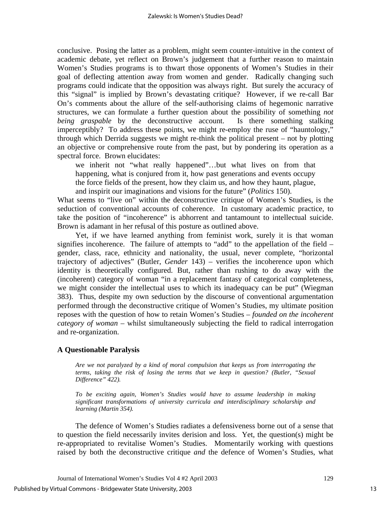conclusive. Posing the latter as a problem, might seem counter-intuitive in the context of academic debate, yet reflect on Brown's judgement that a further reason to maintain Women's Studies programs is to thwart those opponents of Women's Studies in their goal of deflecting attention away from women and gender. Radically changing such programs could indicate that the opposition was always right. But surely the accuracy of this "signal" is implied by Brown's devastating critique? However, if we re-call Bar On's comments about the allure of the self-authorising claims of hegemonic narrative structures, we can formulate a further question about the possibility of something *not being graspable* by the deconstructive account. Is there something stalking imperceptibly? To address these points, we might re-employ the ruse of "hauntology," through which Derrida suggests we might re-think the political present – not by plotting an objective or comprehensive route from the past, but by pondering its operation as a spectral force. Brown elucidates:

we inherit not "what really happened"…but what lives on from that happening, what is conjured from it, how past generations and events occupy the force fields of the present, how they claim us, and how they haunt, plague, and inspirit our imaginations and visions for the future" (*Politics* 150).

What seems to "live on" within the deconstructive critique of Women's Studies, is the seduction of conventional accounts of coherence. In customary academic practice, to take the position of "incoherence" is abhorrent and tantamount to intellectual suicide. Brown is adamant in her refusal of this posture as outlined above.

Yet, if we have learned anything from feminist work, surely it is that woman signifies incoherence. The failure of attempts to "add" to the appellation of the field – gender, class, race, ethnicity and nationality, the usual, never complete, "horizontal trajectory of adjectives" (Butler, *Gender* 143) – verifies the incoherence upon which identity is theoretically configured. But, rather than rushing to do away with the (incoherent) category of woman "in a replacement fantasy of categorical completeness, we might consider the intellectual uses to which its inadequacy can be put" (Wiegman 383). Thus, despite my own seduction by the discourse of conventional argumentation performed through the deconstructive critique of Women's Studies, my ultimate position reposes with the question of how to retain Women's Studies – *founded on the incoherent category of woman* – whilst simultaneously subjecting the field to radical interrogation and re-organization.

# **A Questionable Paralysis**

*Are we not paralyzed by a kind of moral compulsion that keeps us from interrogating the terms, taking the risk of losing the terms that we keep in question? (Butler, "Sexual Difference" 422).* 

*To be exciting again, Women's Studies would have to assume leadership in making significant transformations of university curricula and interdisciplinary scholarship and learning (Martin 354).* 

The defence of Women's Studies radiates a defensiveness borne out of a sense that to question the field necessarily invites derision and loss. Yet, the question(s) might be re-appropriated to revitalise Women's Studies. Momentarily working with questions raised by both the deconstructive critique *and* the defence of Women's Studies, what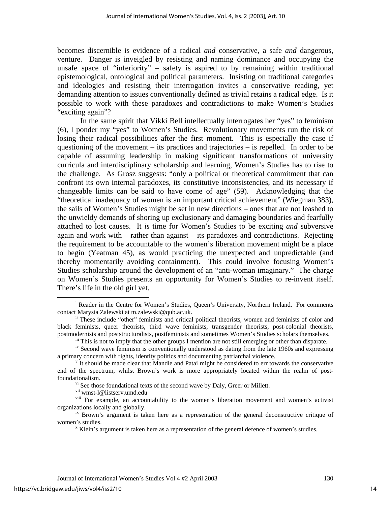becomes discernible is evidence of a radical *and* conservative, a safe *and* dangerous, venture. Danger is inveigled by resisting and naming dominance and occupying the unsafe space of "inferiority" – safety is aspired to by remaining within traditional epistemological, ontological and political parameters. Insisting on traditional categories and ideologies and resisting their interrogation invites a conservative reading, yet demanding attention to issues conventionally defined as trivial retains a radical edge. Is it possible to work with these paradoxes and contradictions to make Women's Studies "exciting again"?

 In the same spirit that Vikki Bell intellectually interrogates her "yes" to feminism (6), I ponder my "yes" to Women's Studies. Revolutionary movements run the risk of losing their radical possibilities after the first moment. This is especially the case if questioning of the movement – its practices and trajectories – is repelled. In order to be capable of assuming leadership in making significant transformations of university curricula and interdisciplinary scholarship and learning, Women's Studies has to rise to the challenge. As Grosz suggests: "only a political or theoretical commitment that can confront its own internal paradoxes, its constitutive inconsistencies, and its necessary if changeable limits can be said to have come of age" (59). Acknowledging that the "theoretical inadequacy of women is an important critical achievement" (Wiegman 383), the sails of Women's Studies might be set in new directions – ones that are not leashed to the unwieldy demands of shoring up exclusionary and damaging boundaries and fearfully attached to lost causes. It *is* time for Women's Studies to be exciting *and* subversive again and work with – rather than against – its paradoxes and contradictions. Rejecting the requirement to be accountable to the women's liberation movement might be a place to begin (Yeatman 45), as would practicing the unexpected and unpredictable (and thereby momentarily avoiding containment). This could involve focusing Women's Studies scholarship around the development of an "anti-woman imaginary." The charge on Women's Studies presents an opportunity for Women's Studies to re-invent itself. There's life in the old girl yet.

i <sup>i</sup> Reader in the Centre for Women's Studies, Queen's University, Northern Ireland. For comments contact Marysia Zalewski at m.zalewski@qub.ac.uk.<br>ii These include "other" feminists and critical political theorists, women and feminists of color and

black feminists, queer theorists, third wave feminists, transgender theorists, post-colonial theorists, postmodernists and poststructuralists, postfeminists and sometimes Women's Studies scholars themselves. iii This is not to imply that the other groups I mention are not still emerging or other than disparate.

<sup>&</sup>lt;sup>iv</sup> Second wave feminism is conventionally understood as dating from the late 1960s and expressing a primary concern with rights, identity politics and documenting patriarchal violence.

<sup>&</sup>lt;sup>v</sup> It should be made clear that Mandle and Patai might be considered to err towards the conservative end of the spectrum, whilst Brown's work is more appropriately located within the realm of postfoundationalism.

<sup>&</sup>lt;sup>vi</sup> See those foundational texts of the second wave by Daly, Greer or Millett.

vii wmst-l@listserv.umd.edu

<sup>&</sup>lt;sup>viii</sup> For example, an accountability to the women's liberation movement and women's activist organizations locally and globally.

 $\mu$ <sup>ix</sup> Brown's argument is taken here as a representation of the general deconstructive critique of women's studies.

<sup>&</sup>lt;sup>x</sup> Klein's argument is taken here as a representation of the general defence of women's studies.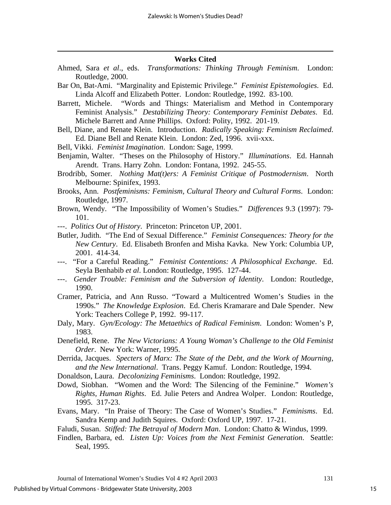#### **Works Cited**

- Ahmed, Sara *et al*., eds. *Transformations: Thinking Through Feminism*. London: Routledge, 2000.
- Bar On, Bat-Ami. "Marginality and Epistemic Privilege." *Feminist Epistemologies*. Ed. Linda Alcoff and Elizabeth Potter. London: Routledge, 1992. 83-100.
- Barrett, Michele. "Words and Things: Materialism and Method in Contemporary Feminist Analysis." *Destabilizing Theory: Contemporary Feminist Debates*. Ed. Michele Barrett and Anne Phillips. Oxford: Polity, 1992. 201-19.
- Bell, Diane, and Renate Klein. Introduction. *Radically Speaking: Feminism Reclaimed*. Ed. Diane Bell and Renate Klein. London: Zed, 1996. xvii-xxx.
- Bell, Vikki. *Feminist Imagination*. London: Sage, 1999.

1

- Benjamin, Walter. "Theses on the Philosophy of History." *Illuminations*. Ed. Hannah Arendt. Trans. Harry Zohn. London: Fontana, 1992. 245-55.
- Brodribb, Somer. *Nothing Mat(t)ers: A Feminist Critique of Postmodernism*. North Melbourne: Spinifex, 1993.
- Brooks, Ann. *Postfeminisms: Feminism, Cultural Theory and Cultural Forms*. London: Routledge, 1997.
- Brown, Wendy. "The Impossibility of Women's Studies." *Differences* 9.3 (1997): 79- 101.
- ---. *Politics Out of History*. Princeton: Princeton UP, 2001.
- Butler, Judith. "The End of Sexual Difference." *Feminist Consequences: Theory for the New Century*. Ed. Elisabeth Bronfen and Misha Kavka. New York: Columbia UP, 2001. 414-34.
- ---. "For a Careful Reading." *Feminist Contentions: A Philosophical Exchange*. Ed. Seyla Benhabib *et al*. London: Routledge, 1995. 127-44.
- ---. *Gender Trouble: Feminism and the Subversion of Identity*. London: Routledge, 1990.
- Cramer, Patricia, and Ann Russo. "Toward a Multicentred Women's Studies in the 1990s." *The Knowledge Explosion*. Ed. Cheris Kramarare and Dale Spender. New York: Teachers College P, 1992. 99-117.
- Daly, Mary. *Gyn/Ecology: The Metaethics of Radical Feminism*. London: Women's P, 1983.
- Denefield, Rene. *The New Victorians: A Young Woman's Challenge to the Old Feminist Order*. New York: Warner, 1995.
- Derrida, Jacques. *Specters of Marx: The State of the Debt, and the Work of Mourning, and the New International*. Trans. Peggy Kamuf. London: Routledge, 1994.
- Donaldson, Laura. *Decolonizing Feminisms*. London: Routledge, 1992.
- Dowd, Siobhan. "Women and the Word: The Silencing of the Feminine." *Women's Rights, Human Rights*. Ed. Julie Peters and Andrea Wolper. London: Routledge, 1995. 317-23.
- Evans, Mary. "In Praise of Theory: The Case of Women's Studies." *Feminisms*. Ed. Sandra Kemp and Judith Squires. Oxford: Oxford UP, 1997. 17-21.
- Faludi, Susan. *Stiffed: The Betrayal of Modern Man*. London: Chatto & Windus, 1999.
- Findlen, Barbara, ed. *Listen Up: Voices from the Next Feminist Generation*. Seattle: Seal, 1995.

Journal of International Women's Studies Vol 4 #2 April 2003 131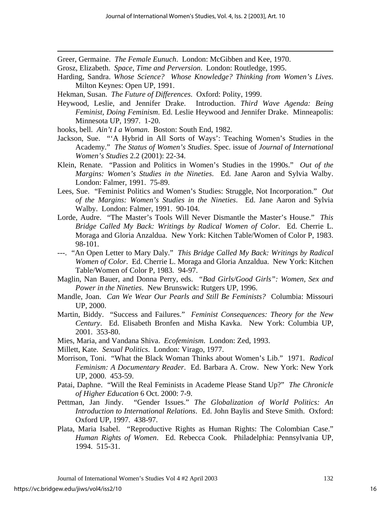Greer, Germaine. *The Female Eunuch*. London: McGibben and Kee, 1970.

Grosz, Elizabeth. *Space, Time and Perversion*. London: Routledge, 1995.

Harding, Sandra. *Whose Science? Whose Knowledge? Thinking from Women's Lives*. Milton Keynes: Open UP, 1991.

Hekman, Susan. *The Future of Differences*. Oxford: Polity, 1999.

- Heywood, Leslie, and Jennifer Drake. Introduction. *Third Wave Agenda: Being Feminist, Doing Feminism*. Ed. Leslie Heywood and Jennifer Drake. Minneapolis: Minnesota UP, 1997. 1-20.
- hooks, bell. *Ain't I a Woman*. Boston: South End, 1982.
- Jackson, Sue. "'A Hybrid in All Sorts of Ways': Teaching Women's Studies in the Academy." *The Status of Women's Studies*. Spec. issue of *Journal of International Women's Studies* 2.2 (2001): 22-34.
- Klein, Renate. "Passion and Politics in Women's Studies in the 1990s." *Out of the Margins: Women's Studies in the Nineties*. Ed. Jane Aaron and Sylvia Walby. London: Falmer, 1991. 75-89.
- Lees, Sue. "Feminist Politics and Women's Studies: Struggle, Not Incorporation." *Out of the Margins: Women's Studies in the Nineties*. Ed. Jane Aaron and Sylvia Walby. London: Falmer, 1991. 90-104.
- Lorde, Audre. "The Master's Tools Will Never Dismantle the Master's House." *This Bridge Called My Back: Writings by Radical Women of Color*. Ed. Cherrie L. Moraga and Gloria Anzaldua. New York: Kitchen Table/Women of Color P, 1983. 98-101.
- ---. "An Open Letter to Mary Daly." *This Bridge Called My Back: Writings by Radical Women of Color*. Ed. Cherrie L. Moraga and Gloria Anzaldua. New York: Kitchen Table/Women of Color P, 1983. 94-97.
- Maglin, Nan Bauer, and Donna Perry, eds. *"Bad Girls/Good Girls": Women, Sex and Power in the Nineties*. New Brunswick: Rutgers UP, 1996.
- Mandle, Joan. *Can We Wear Our Pearls and Still Be Feminists?* Columbia: Missouri UP, 2000.
- Martin, Biddy. "Success and Failures." *Feminist Consequences: Theory for the New Century*. Ed. Elisabeth Bronfen and Misha Kavka. New York: Columbia UP, 2001. 353-80.
- Mies, Maria, and Vandana Shiva. *Ecofeminism*. London: Zed, 1993.
- Millett, Kate. *Sexual Politics*. London: Virago, 1977.
- Morrison, Toni. "What the Black Woman Thinks about Women's Lib." 1971. *Radical Feminism: A Documentary Reader*. Ed. Barbara A. Crow. New York: New York UP, 2000. 453-59.
- Patai, Daphne. "Will the Real Feminists in Academe Please Stand Up?" *The Chronicle of Higher Education* 6 Oct. 2000: 7-9.
- Pettman, Jan Jindy. "Gender Issues." *The Globalization of World Politics: An Introduction to International Relations*. Ed. John Baylis and Steve Smith. Oxford: Oxford UP, 1997. 438-97.
- Plata, Maria Isabel. "Reproductive Rights as Human Rights: The Colombian Case." *Human Rights of Women*. Ed. Rebecca Cook. Philadelphia: Pennsylvania UP, 1994. 515-31.

1